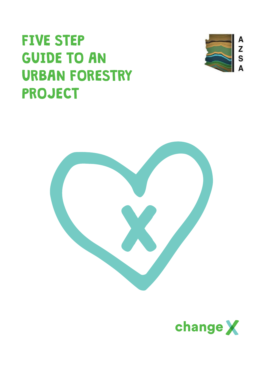# FIVE STEP GUIDE TO AN URBAN FORESTRY PROJECT





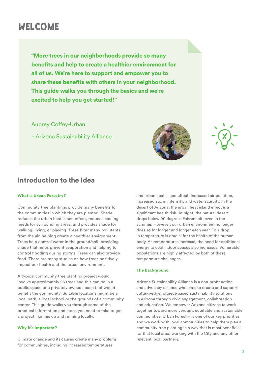## WELCOME

"More trees in our neighborhoods provide so many benefits and help to create a healthier environment for all of us. We're here to support and empower you to share these benefits with others in your neighborhood. This guide walks you through the basics and we're excited to help you get started!"

Aubrey Coffey-Urban

- Arizona Sustainability Alliance



## Introduction to the Idea

#### What is Urban Forestry?

Community tree plantings provide many benefits for the communities in which they are planted. Shade reduces the urban heat island effect, reduces cooling needs for surrounding areas, and provides shade for walking, living, or playing. Trees filter many pollutants from the air, helping create a healthier environment. Trees help control water in the ground/soil, providing shade that helps prevent evaporation and helping to control flooding during storms. Trees can also provide food. There are many studies on how trees positively impact our health and the urban environment.

A typical community tree planting project would involve approximately 25 trees and this can be in a public space or a privately owned space that would benefit the community. Suitable locations might be a local park, a local school or the grounds of a community center. This guide walks you through some of the practical information and steps you need to take to get a project like this up and running locally.

#### Why it's Important?

Climate change and its causes create many problems for communities, including increased temperatures

and urban heat island effect, increased air pollution, increased storm intensity, and water scarcity. In the desert of Arizona, the urban heat island effect is a significant health risk. At night, the natural desert drops below 90 degrees Fahrenheit, even in the summer. However, our urban environment no longer does so for longer and longer each year. This drop in temperature is crucial for the health of the human body. As temperatures increase, the need for additional energy to cool indoor spaces also increases. Vulnerable populations are highly affected by both of these temperature challenges.

#### The Background

Arizona Sustainability Alliance is a non-profit action and advocacy alliance who aims to create and support cutting-edge, project-based sustainability solutions in Arizona through civic engagement, collaboration and education. We empower Arizona citizens to work together toward more verdant, equitable and sustainable communities. Urban Forestry is one of our key priorities and we work with local communities to help them plan a community tree planting in a way that is most beneficial for that local area, working with the City and any other relevant local partners.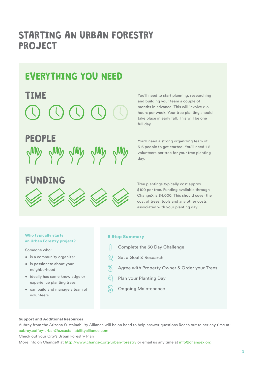# STARTING AN URBAN FORESTRY PROJECT

# EVERYTHING YOU NEED

# TIME

# PEOPLE



# FUNDING Tree plantings typically cost approx



You'll need to start planning, researching and building your team a couple of months in advance. This will involve 2-3 hours per week. Your tree planting should take place in early fall. This will be one full day.

You'll need a strong organizing team of 5-6 people to get started. You'll need 1-2 volunteers per tree for your tree planting day.

\$100 per tree. Funding available through ChangeX is \$4,000. This should cover the cost of trees, tools and any other costs associated with your planting day.

#### Who typically starts an Urban Forestry project?

Someone who:

- is a community organizer
- is passionate about your neighborhood
- ideally has some knowledge or experience planting trees
- can build and manage a team of volunteers

### 5 Step Summary

- $\mathbb{R}$ Complete the 30 Day Challenge
- $\mathfrak{D}^-$ Set a Goal & Research
- Agree with Property Owner & Order your Trees
- 凹 Plan your Planting Day
- $\mathbb S$ Ongoing Maintenance

#### Support and Additional Resources

Aubrey from the Arizona Sustainability Alliance will be on hand to help answer questions Reach out to her any time at: aubrey.coffey-urban@azsustainabilityalliance.com

Check out your City's Urban Forestry Plan

More info on ChangeX at http://www.changex.org/urban-forestry or email us any time at info@changex.org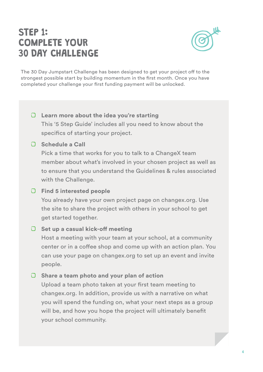# STEP 1: COMPLETE YOUR 30 DAY CHALLENGE



The 30 Day Jumpstart Challenge has been designed to get your project off to the strongest possible start by building momentum in the first month. Once you have completed your challenge your first funding payment will be unlocked.

## **Learn more about the idea you're starting**

This '5 Step Guide' includes all you need to know about the specifics of starting your project.

## **Schedule a Call**

Pick a time that works for you to talk to a ChangeX team member about what's involved in your chosen project as well as to ensure that you understand the Guidelines & rules associated with the Challenge.

## **Find 5 interested people**

You already have your own project page on changex.org. Use the site to share the project with others in your school to get get started together.

## **C** Set up a casual kick-off meeting

Host a meeting with your team at your school, at a community center or in a coffee shop and come up with an action plan. You can use your page on changex.org to set up an event and invite people.

## **Share a team photo and your plan of action**

Upload a team photo taken at your first team meeting to changex.org. In addition, provide us with a narrative on what you will spend the funding on, what your next steps as a group will be, and how you hope the project will ultimately benefit your school community.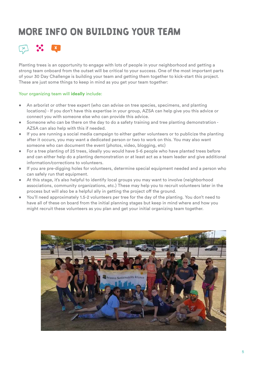# MORE INFO ON BUILDING YOUR TEAM



Planting trees is an opportunity to engage with lots of people in your neighborhood and getting a strong team onboard from the outset will be critical to your success. One of the most important parts of your 30 Day Challenge is building your team and getting them together to kick-start this project. These are just some things to keep in mind as you get your team together:

## Your organizing team will **ideally** include:

- An arborist or other tree expert (who can advise on tree species, specimens, and planting locations) - If you don't have this expertise in your group, AZSA can help give you this advice or connect you with someone else who can provide this advice.
- Someone who can be there on the day to do a safety training and tree planting demonstration AZSA can also help with this if needed.
- If you are running a social media campaign to either gather volunteers or to publicize the planting after it occurs, you may want a dedicated person or two to work on this. You may also want someone who can document the event (photos, video, blogging, etc)
- For a tree planting of 25 trees, ideally you would have 5-6 people who have planted trees before and can either help do a planting demonstration or at least act as a team leader and give additional information/corrections to volunteers.
- If you are pre-digging holes for volunteers, determine special equipment needed and a person who can safely run that equipment.
- At this stage, it's also helpful to identify local groups you may want to involve (neighborhood associations, community organizations, etc.) These may help you to recruit volunteers later in the process but will also be a helpful ally in getting the project off the ground.
- You'll need approximately 1.5-2 volunteers per tree for the day of the planting. You don't need to have all of these on board from the initial planning stages but keep in mind where and how you might recruit these volunteers as you plan and get your initial organizing team together.

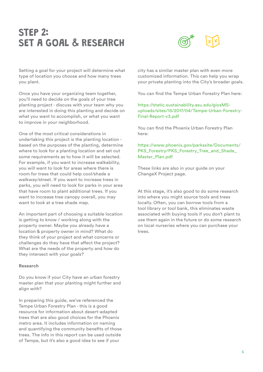# STEP 2: SET A GOAL & RESEARCH



Setting a goal for your project will determine what type of location you choose and how many trees you plant.

Once you have your organizing team together, you'll need to decide on the goals of your tree planting project - discuss with your team why you are interested in doing this planting and decide on what you want to accomplish, or what you want to improve in your neighborhood.

One of the most critical considerations in undertaking this project is the planting location based on the purposes of the planting, determine where to look for a planting location and set out some requirements as to how it will be selected. For example, if you want to increase walkability, you will want to look for areas where there is room for trees that could help cool/shade a walkway/street. If you want to increase trees in parks, you will need to look for parks in your area that have room to plant additional trees. If you want to increase tree canopy overall, you may want to look at a tree shade map.

An important part of choosing a suitable location is getting to know / working along with the property owner. Maybe you already have a location & property owner in mind? What do they think of your project and what concerns or challenges do they have that affect the project? What are the needs of the property and how do they intersect with your goals?

#### **Research**

Do you know if your City have an urban forestry master plan that your planting might further and align with?

In preparing this guide, we've referenced the Tempe Urban Forestry Plan - this is a good resource for information about desert-adapted trees that are also good choices for the Phoenix metro area. It includes information on naming and quantifying the community benefits of those trees. The info in this report can be used outside of Tempe, but it's also a good idea to see if your

city has a similar master plan with even more customized information. This can help you wrap your private planting into the City's broader goals.

You can find the Tempe Urban Forestry Plan here:

## https://static.sustainability.asu.edu/giosMSuploads/sites/15/2017/04/Tempe-Urban-Forestry-Final-Report-v3.pdf

You can find the Phoenix Urban Forestry Plan here:

## https://www.phoenix.gov/parkssite/Documents/ PKS\_Forestry/PKS\_Forestry\_Tree\_and\_Shade\_ Master\_Plan.pdf

These links are also in your guide on your ChangeX Project page.

At this stage, it's also good to do some research into where you might source tools and trees locally. Often, you can borrow tools from a tool library or tool bank, this eliminates waste associated with buying tools if you don't plant to use them again in the future or do some research on local nurseries where you can purchase your trees.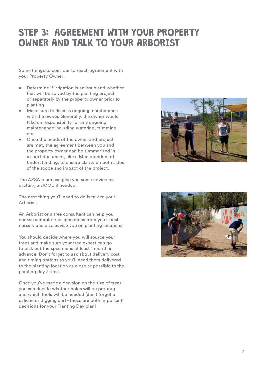# STEP 3: AGREEMENT WITH YOUR PROPERTY OWNER AND TALK TO YOUR ARBORIST

Some things to consider to reach agreement with your Property Owner:

- Determine if irrigation is an issue and whether that will be solved by the planting project or separately by the property owner prior to planting
- Make sure to discuss ongoing maintenance with the owner. Generally, the owner would take on responsibility for any ongoing maintenance including watering, trimming etc.
- Once the needs of the owner and project are met, the agreement between you and the property owner can be summarized in a short document, like a Memorandum of Understanding, to ensure clarity on both sides of the scope and impact of the project.

The AZSA team can give you some advice on drafting an MOU if needed.

The next thing you'll need to do is talk to your Arborist.

An Arborist or a tree consultant can help you choose suitable tree specimens from your local nursery and also advise you on planting locations.

You should decide where you will source your trees and make sure your tree expert can go to pick out the specimens at least 1 month in advance. Don't forget to ask about delivery cost and timing options as you'll need them delivered to the planting location as close as possible to the planting day / time.

Once you've made a decision on the size of trees you can decide whether holes will be pre-dug and which tools will be needed (don't forget a caliche or digging bar) - these are both important decisions for your Planting Day plan!



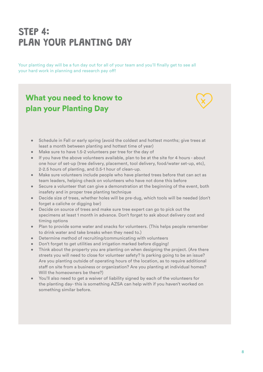# STEP 4: PLAN YOUR PLANTING DAY

Your planting day will be a fun day out for all of your team and you'll finally get to see all your hard work in planning and research pay off!

## What you need to know to plan your Planting Day

- Schedule in Fall or early spring (avoid the coldest and hottest months; give trees at least a month between planting and hottest time of year)
- Make sure to have 1.5-2 volunteers per tree for the day of
- If you have the above volunteers available, plan to be at the site for 4 hours about one hour of set-up (tree delivery, placement, tool delivery, food/water set-up, etc), 2-2.5 hours of planting, and 0.5-1 hour of clean-up.
- Make sure volunteers include people who have planted trees before that can act as team leaders, helping check on volunteers who have not done this before
- Secure a volunteer that can give a demonstration at the beginning of the event, both insafety and in proper tree planting technique
- Decide size of trees, whether holes will be pre-dug, which tools will be needed (don't forget a caliche or digging bar)
- Decide on source of trees and make sure tree expert can go to pick out the specimens at least 1 month in advance. Don't forget to ask about delivery cost and timing options
- Plan to provide some water and snacks for volunteers. (This helps people remember to drink water and take breaks when they need to.)
- Determine method of recruiting/communicating with volunteers
- Don't forget to get utilities and irrigation marked before digging!
- Think about the property you are planting on when designing the project. (Are there streets you will need to close for volunteer safety? Is parking going to be an issue? Are you planting outside of operating hours of the location, as to require additional staff on site from a business or organization? Are you planting at individual homes? Will the homeowners be there?)
- You'll also need to get a waiver of liability signed by each of the volunteers for the planting day- this is something AZSA can help with if you haven't worked on something similar before.